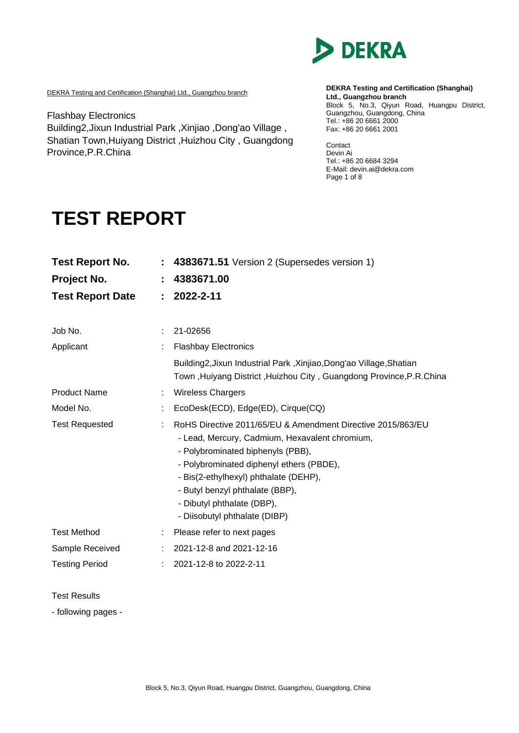

DEKRA Testing and Certification (Shanghai) Ltd., Guangzhou branch

Flashbay Electronics Building2,Jixun Industrial Park ,Xinjiao ,Dong'ao Village , Shatian Town,Huiyang District ,Huizhou City , Guangdong Province,P.R.China

**DEKRA Testing and Certification (Shanghai) Ltd., Guangzhou branch** Block 5, No.3, Qiyun Road, Huangpu District, Guangzhou, Guangdong, China Tel.: +86 20 6661 2000 Fax: +86 20 6661 2001

Contact Devin Ai Tel.: +86 20 6684 3294 E-Mail: devin.ai@dekra.com Page 1 of 8

# **TEST REPORT**

| <b>Test Report No.</b><br>Project No.<br><b>Test Report Date</b> | ÷. | : 4383671.51 Version 2 (Supersedes version 1)<br>4383671.00<br>2022-2-11                                                                                                                                                                                                                                                                  |
|------------------------------------------------------------------|----|-------------------------------------------------------------------------------------------------------------------------------------------------------------------------------------------------------------------------------------------------------------------------------------------------------------------------------------------|
| Job No.                                                          |    | 21-02656                                                                                                                                                                                                                                                                                                                                  |
| Applicant                                                        |    | <b>Flashbay Electronics</b>                                                                                                                                                                                                                                                                                                               |
|                                                                  |    | Building2, Jixun Industrial Park, Xinjiao, Dong'ao Village, Shatian<br>Town, Huiyang District, Huizhou City, Guangdong Province, P.R.China                                                                                                                                                                                                |
| <b>Product Name</b>                                              |    | <b>Wireless Chargers</b>                                                                                                                                                                                                                                                                                                                  |
| Model No.                                                        |    | EcoDesk(ECD), Edge(ED), Cirque(CQ)                                                                                                                                                                                                                                                                                                        |
| <b>Test Requested</b>                                            |    | RoHS Directive 2011/65/EU & Amendment Directive 2015/863/EU<br>- Lead, Mercury, Cadmium, Hexavalent chromium,<br>- Polybrominated biphenyls (PBB),<br>- Polybrominated diphenyl ethers (PBDE),<br>- Bis(2-ethylhexyl) phthalate (DEHP),<br>- Butyl benzyl phthalate (BBP),<br>- Dibutyl phthalate (DBP),<br>- Diisobutyl phthalate (DIBP) |
| <b>Test Method</b>                                               |    | Please refer to next pages                                                                                                                                                                                                                                                                                                                |
| Sample Received                                                  |    | 2021-12-8 and 2021-12-16                                                                                                                                                                                                                                                                                                                  |
| <b>Testing Period</b>                                            |    | 2021-12-8 to 2022-2-11                                                                                                                                                                                                                                                                                                                    |

Test Results

- following pages -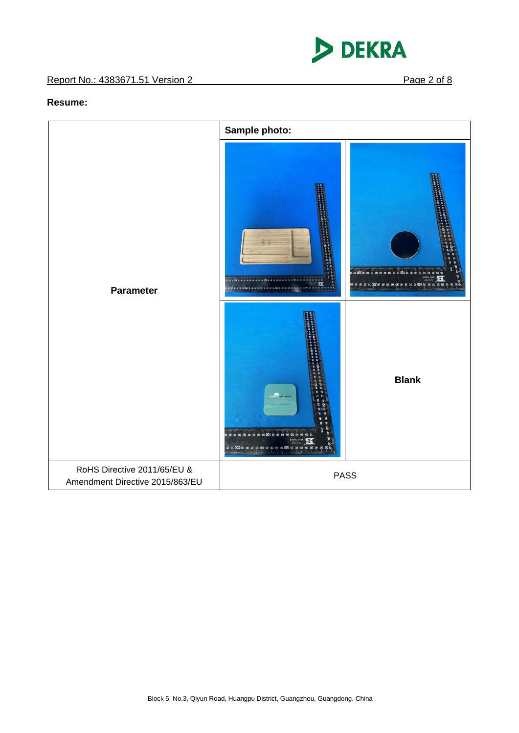

#### **Resume:**

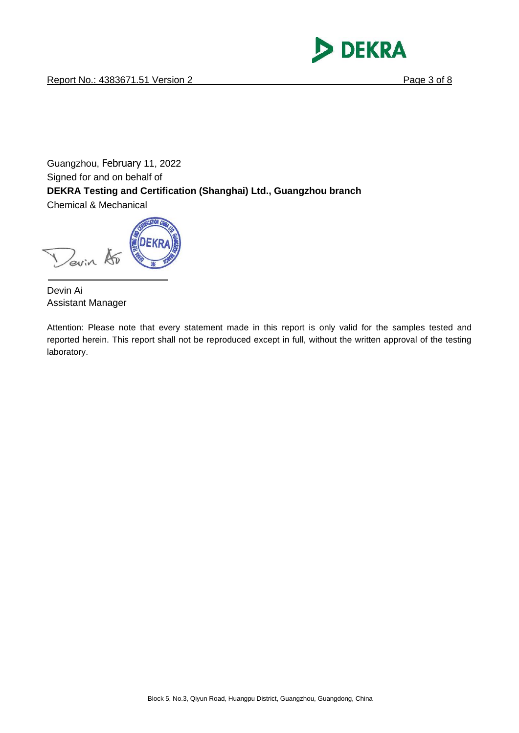

Guangzhou, [February](javascript:;) 11, 2022 Signed for and on behalf of **DEKRA Testing and Certification (Shanghai) Ltd., Guangzhou branch** Chemical & Mechanical

Devin 15

Devin Ai Assistant Manager

Attention: Please note that every statement made in this report is only valid for the samples tested and reported herein. This report shall not be reproduced except in full, without the written approval of the testing laboratory.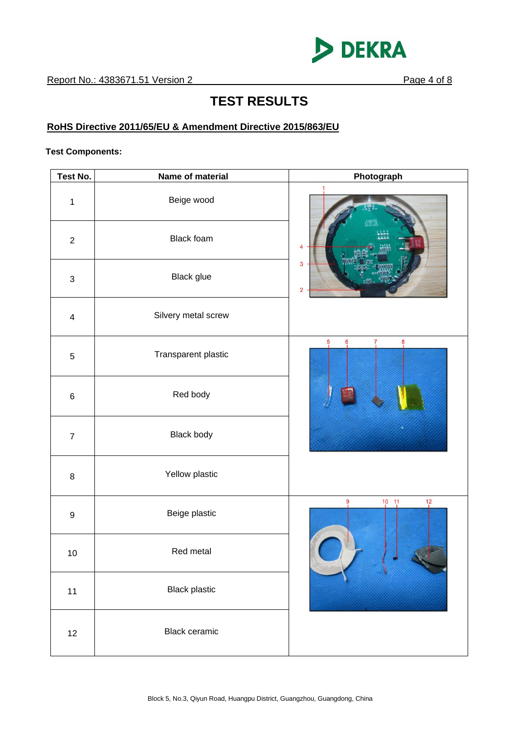

# **TEST RESULTS**

## **RoHS Directive 2011/65/EU & Amendment Directive 2015/863/EU**

#### **Test Components:**

| Test No.                | Name of material     | Photograph                       |
|-------------------------|----------------------|----------------------------------|
| $\mathbf 1$             | Beige wood           |                                  |
| $\overline{2}$          | <b>Black foam</b>    | Δ                                |
| $\sqrt{3}$              | Black glue           | 3<br>$\overline{2}$              |
| $\overline{\mathbf{4}}$ | Silvery metal screw  |                                  |
| $\,$ 5 $\,$             | Transparent plastic  | 5<br>8<br>6<br>7                 |
| $\,6\,$                 | Red body             |                                  |
| $\boldsymbol{7}$        | Black body           |                                  |
| $\,8\,$                 | Yellow plastic       |                                  |
| $\boldsymbol{9}$        | Beige plastic        | 9<br>$10 - 11$<br>$\frac{12}{1}$ |
| 10                      | Red metal            |                                  |
| 11                      | <b>Black plastic</b> |                                  |
| 12                      | <b>Black ceramic</b> |                                  |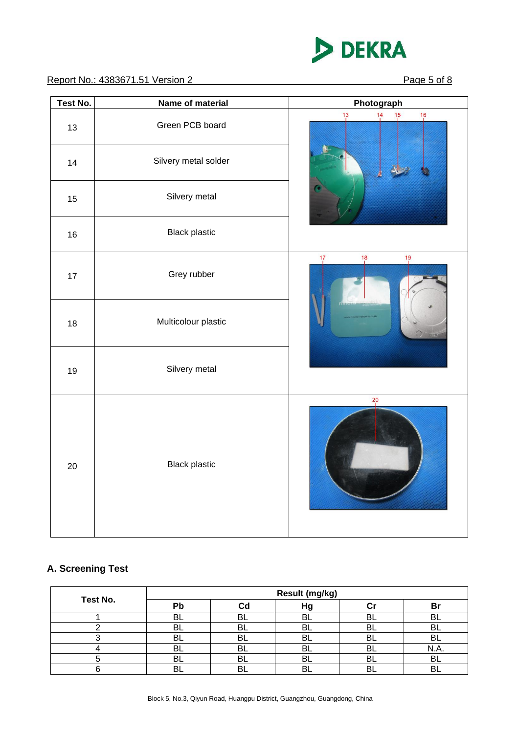

#### Report No.: 4383671.51 Version 2 Page 5 of 8

| Test No. | Name of material     | Photograph                                               |
|----------|----------------------|----------------------------------------------------------|
| 13       | Green PCB board      | $\frac{13}{1}$<br>$\frac{15}{1}$<br>$\frac{16}{1}$<br>14 |
| 14       | Silvery metal solder |                                                          |
| 15       | Silvery metal        |                                                          |
| 16       | <b>Black plastic</b> |                                                          |
| 17       | Grey rubber          | $\frac{19}{1}$<br>17<br>$\frac{18}{1}$                   |
| 18       | Multicolour plastic  |                                                          |
| 19       | Silvery metal        |                                                          |
| 20       | <b>Black plastic</b> | 20                                                       |

## **A. Screening Test**

|          | Result (mg/kg) |    |    |     |          |  |
|----------|----------------|----|----|-----|----------|--|
| Test No. | Pb             | Cd | Hg |     | Br       |  |
|          | BL             | BL | ΒL |     | BL       |  |
|          | BL             | BL | BL | Ь۱. | BL       |  |
|          | BL             | BL | BL | BL  | BL       |  |
|          | BL             | BL | BL | Bl  | N.A.     |  |
|          | BL             | BL | BL | ப   | BL       |  |
|          | R              | BL |    |     | <b>R</b> |  |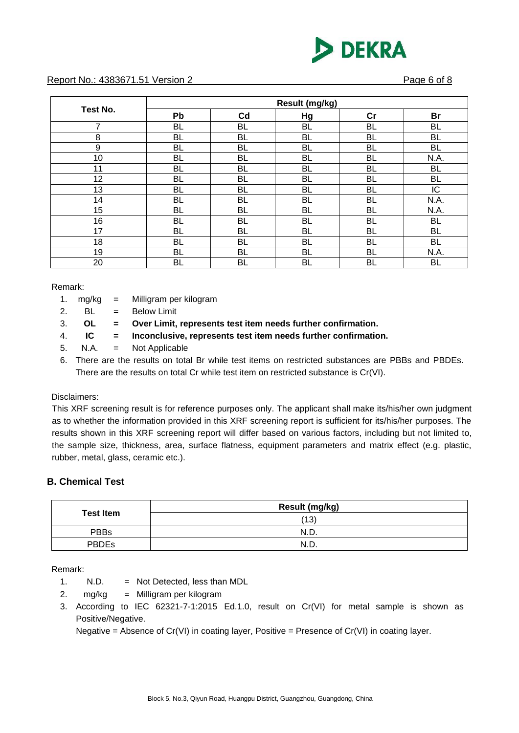

#### Report No.: 4383671.51 Version 2 Page 6 of 8

|          | Result (mg/kg) |           |           |           |           |  |
|----------|----------------|-----------|-----------|-----------|-----------|--|
| Test No. | Pb             | Cd        | Hg        | cr        | <b>Br</b> |  |
| 7        | <b>BL</b>      | BL        | <b>BL</b> | BL        | BL        |  |
| 8        | <b>BL</b>      | <b>BL</b> | <b>BL</b> | <b>BL</b> | <b>BL</b> |  |
| 9        | <b>BL</b>      | <b>BL</b> | <b>BL</b> | <b>BL</b> | <b>BL</b> |  |
| 10       | <b>BL</b>      | <b>BL</b> | <b>BL</b> | <b>BL</b> | N.A.      |  |
| 11       | <b>BL</b>      | BL        | <b>BL</b> | BL        | <b>BL</b> |  |
| 12       | <b>BL</b>      | <b>BL</b> | <b>BL</b> | <b>BL</b> | <b>BL</b> |  |
| 13       | <b>BL</b>      | <b>BL</b> | <b>BL</b> | <b>BL</b> | IC        |  |
| 14       | <b>BL</b>      | BL        | <b>BL</b> | BL        | N.A.      |  |
| 15       | <b>BL</b>      | <b>BL</b> | <b>BL</b> | <b>BL</b> | N.A.      |  |
| 16       | <b>BL</b>      | <b>BL</b> | <b>BL</b> | <b>BL</b> | <b>BL</b> |  |
| 17       | <b>BL</b>      | <b>BL</b> | <b>BL</b> | BL        | BL        |  |
| 18       | <b>BL</b>      | BL        | <b>BL</b> | BL        | <b>BL</b> |  |
| 19       | <b>BL</b>      | <b>BL</b> | <b>BL</b> | <b>BL</b> | N.A.      |  |
| 20       | <b>BL</b>      | BL        | <b>BL</b> | BL        | BL        |  |

Remark:

- 1. mg/kg = Milligram per kilogram
- 2.  $BL = Below Limit$
- 3. **OL = Over Limit, represents test item needs further confirmation.**
- 4. **IC = Inconclusive, represents test item needs further confirmation.**
- 5. N.A. = Not Applicable
- 6. There are the results on total Br while test items on restricted substances are PBBs and PBDEs. There are the results on total Cr while test item on restricted substance is Cr(VI).

Disclaimers:

This XRF screening result is for reference purposes only. The applicant shall make its/his/her own judgment as to whether the information provided in this XRF screening report is sufficient for its/his/her purposes. The results shown in this XRF screening report will differ based on various factors, including but not limited to, the sample size, thickness, area, surface flatness, equipment parameters and matrix effect (e.g. plastic, rubber, metal, glass, ceramic etc.).

#### **B. Chemical Test**

| <b>Test Item</b> | Result (mg/kg) |
|------------------|----------------|
|                  | (13)           |
| <b>PBBs</b>      | N.D.           |
| <b>PBDEs</b>     | N.D.           |

Remark:

- 1. N.D. = Not Detected, less than MDL
- 2. mg/kg = Milligram per kilogram
- 3. According to IEC 62321-7-1:2015 Ed.1.0, result on Cr(VI) for metal sample is shown as Positive/Negative.

Negative = Absence of  $Cr(VI)$  in coating layer, Positive = Presence of  $Cr(VI)$  in coating layer.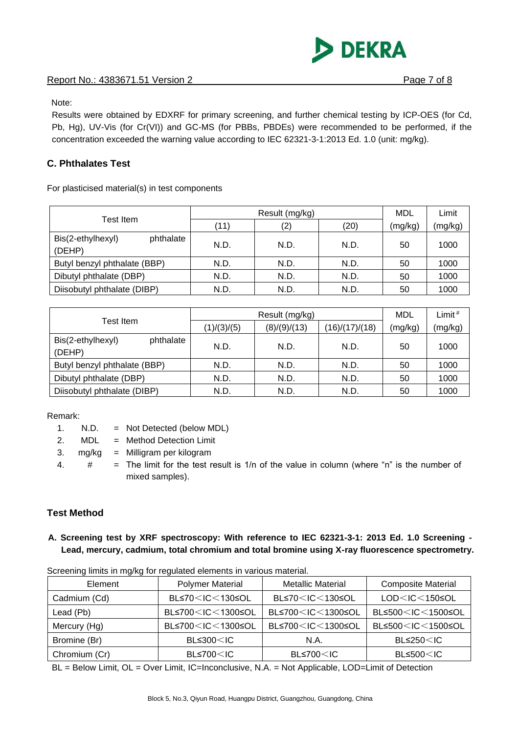#### Report No.: 4383671.51 Version 2 Page 7 of 8

**DEKRA** 

Note:

Results were obtained by EDXRF for primary screening, and further chemical testing by ICP-OES (for Cd, Pb, Hg), UV-Vis (for Cr(VI)) and GC-MS (for PBBs, PBDEs) were recommended to be performed, if the concentration exceeded the warning value according to IEC 62321-3-1:2013 Ed. 1.0 (unit: mg/kg).

#### **C. Phthalates Test**

For plasticised material(s) in test components

|                                          |      | MDL  | Limit |         |         |
|------------------------------------------|------|------|-------|---------|---------|
| Test Item                                | (11) | (2)  | (20)  | (mg/kg) | (mg/kg) |
| Bis(2-ethylhexyl)<br>phthalate<br>(DEHP) | N.D. | N.D. | N.D.  | 50      | 1000    |
| Butyl benzyl phthalate (BBP)             | N.D. | N.D. | N.D.  | 50      | 1000    |
| Dibutyl phthalate (DBP)                  | N.D. | N.D. | N.D.  | 50      | 1000    |
| Diisobutyl phthalate (DIBP)              | N.D. | N.D. | N.D.  | 50      | 1000    |

| Test Item                                | Result (mg/kg) |              |                | <b>MDL</b> | Limit $#$ |
|------------------------------------------|----------------|--------------|----------------|------------|-----------|
|                                          | (1)/(3)/(5)    | (8)/(9)/(13) | (16)/(17)/(18) | (mg/kg)    | (mg/kg)   |
| Bis(2-ethylhexyl)<br>phthalate<br>(DEHP) | N.D.           | N.D.         | N.D.           | 50         | 1000      |
| Butyl benzyl phthalate (BBP)             | N.D.           | N.D.         | N.D.           | 50         | 1000      |
| Dibutyl phthalate (DBP)                  | N.D.           | N.D.         | N.D.           | 50         | 1000      |
| Diisobutyl phthalate (DIBP)              | N.D.           | N.D.         | N.D.           | 50         | 1000      |

Remark:

| 1. | N.D. |  | Not Detected (below MDL) |  |  |
|----|------|--|--------------------------|--|--|
|----|------|--|--------------------------|--|--|

2. MDL = Method Detection Limit

3. mg/kg = Milligram per kilogram

4.  $\#$  = The limit for the test result is 1/n of the value in column (where "n" is the number of mixed samples).

#### **Test Method**

**A. Screening test by XRF spectroscopy: With reference to IEC 62321-3-1: 2013 Ed. 1.0 Screening - Lead, mercury, cadmium, total chromium and total bromine using X-ray fluorescence spectrometry.**

| Element       | <b>Polymer Material</b>                                                                                                                  | <b>Metallic Material</b>                                                                 | <b>Composite Material</b>                |
|---------------|------------------------------------------------------------------------------------------------------------------------------------------|------------------------------------------------------------------------------------------|------------------------------------------|
| Cadmium (Cd)  | BL≤70 <ic<130≤ol< td=""><td>BL≤70<ic<130≤ol< td=""><td><math>LOD &lt; IC &lt; 150</math> SOL</td></ic<130≤ol<></td></ic<130≤ol<>         | BL≤70 <ic<130≤ol< td=""><td><math>LOD &lt; IC &lt; 150</math> SOL</td></ic<130≤ol<>      | $LOD < IC < 150$ SOL                     |
| Lead (Pb)     | BL≤700 <ic<1300≤ol< td=""><td>BL≤700<ic<1300≤ol< td=""><td>BL≤500<ic<1500≤ol< td=""></ic<1500≤ol<></td></ic<1300≤ol<></td></ic<1300≤ol<> | BL≤700 <ic<1300≤ol< td=""><td>BL≤500<ic<1500≤ol< td=""></ic<1500≤ol<></td></ic<1300≤ol<> | BL≤500 <ic<1500≤ol< td=""></ic<1500≤ol<> |
| Mercury (Hg)  | BL≤700 <ic<1300≤ol< td=""><td>BL≤700<ic<1300≤ol< td=""><td>BL≤500<ic<1500≤ol< td=""></ic<1500≤ol<></td></ic<1300≤ol<></td></ic<1300≤ol<> | BL≤700 <ic<1300≤ol< td=""><td>BL≤500<ic<1500≤ol< td=""></ic<1500≤ol<></td></ic<1300≤ol<> | BL≤500 <ic<1500≤ol< td=""></ic<1500≤ol<> |
| Bromine (Br)  | $BL \leq 300 \leq IC$                                                                                                                    | N.A.                                                                                     | $BL \leq 250 < IC$                       |
| Chromium (Cr) | $BL \le 700$ $<$ IC                                                                                                                      | $BL \leq 700 < IC$                                                                       | $BL \leq 500 < IC$                       |

Screening limits in mg/kg for regulated elements in various material.

BL = Below Limit, OL = Over Limit, IC=Inconclusive, N.A. = Not Applicable, LOD=Limit of Detection